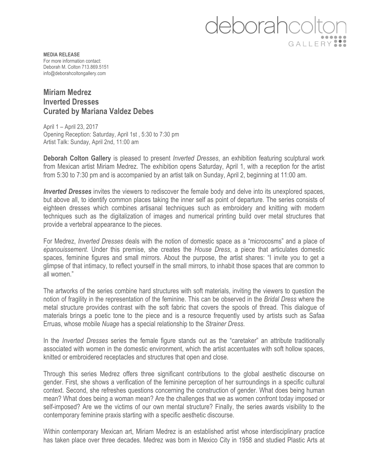## leborahcolt GALLERY ::

**MEDIA RELEASE** For more information contact: Deborah M. Colton 713.869.5151 info@deborahcoltongallery.com

## **Miriam Medrez Inverted Dresses Curated by Mariana Valdez Debes**

April 1 – April 23, 2017 Opening Reception: Saturday, April 1st , 5:30 to 7:30 pm Artist Talk: Sunday, April 2nd, 11:00 am

**Deborah Colton Gallery** is pleased to present *Inverted Dresses*, an exhibition featuring sculptural work from Mexican artist Miriam Medrez. The exhibition opens Saturday, April 1, with a reception for the artist from 5:30 to 7:30 pm and is accompanied by an artist talk on Sunday, April 2, beginning at 11:00 am.

*Inverted Dresses* invites the viewers to rediscover the female body and delve into its unexplored spaces, but above all, to identify common places taking the inner self as point of departure. The series consists of eighteen dresses which combines artisanal techniques such as embroidery and knitting with modern techniques such as the digitalization of images and numerical printing build over metal structures that provide a vertebral appearance to the pieces.

For Medrez, *Inverted Dresses* deals with the notion of domestic space as a "microcosms" and a place of *épanouissement*. Under this premise, she creates the *House Dress*, a piece that articulates domestic spaces, feminine figures and small mirrors. About the purpose, the artist shares: "I invite you to get a glimpse of that intimacy, to reflect yourself in the small mirrors, to inhabit those spaces that are common to all women."

The artworks of the series combine hard structures with soft materials, inviting the viewers to question the notion of fragility in the representation of the feminine. This can be observed in the *Bridal Dress* where the metal structure provides contrast with the soft fabric that covers the spools of thread. This dialogue of materials brings a poetic tone to the piece and is a resource frequently used by artists such as Safaa Erruas, whose mobile *Nuage* has a special relationship to the *Strainer Dress*.

In the *Inverted Dresses* series the female figure stands out as the "caretaker" an attribute traditionally associated with women in the domestic environment, which the artist accentuates with soft hollow spaces, knitted or embroidered receptacles and structures that open and close.

Through this series Medrez offers three significant contributions to the global aesthetic discourse on gender. First, she shows a verification of the feminine perception of her surroundings in a specific cultural context. Second, she refreshes questions concerning the construction of gender. What does being human mean? What does being a woman mean? Are the challenges that we as women confront today imposed or self-imposed? Are we the victims of our own mental structure? Finally, the series awards visibility to the contemporary feminine praxis starting with a specific aesthetic discourse.

Within contemporary Mexican art, Miriam Medrez is an established artist whose interdisciplinary practice has taken place over three decades. Medrez was born in Mexico City in 1958 and studied Plastic Arts at